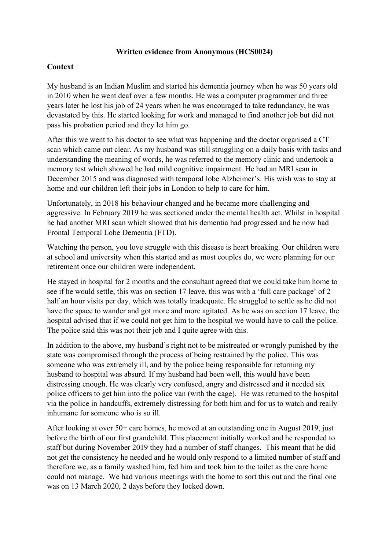#### **Written evidence from Anonymous (HCS0024)**

#### **Context**

My husband is an Indian Muslim and started his dementia journey when he was 50 years old in 2010 when he went deaf over a few months. He was a computer programmer and three years later he lost his job of 24 years when he was encouraged to take redundancy, he was devastated by this. He started looking for work and managed to find another job but did not pass his probation period and they let him go.

After this we went to his doctor to see what was happening and the doctor organised a CT scan which came out clear. As my husband was still struggling on a daily basis with tasks and understanding the meaning of words, he was referred to the memory clinic and undertook a memory test which showed he had mild cognitive impairment. He had an MRI scan in December 2015 and was diagnosed with temporal lobe Alzheimer's. His wish was to stay at home and our children left their jobs in London to help to care for him.

Unfortunately, in 2018 his behaviour changed and he became more challenging and aggressive. In February 2019 he was sectioned under the mental health act. Whilst in hospital he had another MRI scan which showed that his dementia had progressed and he now had Frontal Temporal Lobe Dementia (FTD).

Watching the person, you love struggle with this disease is heart breaking. Our children were at school and university when this started and as most couples do, we were planning for our retirement once our children were independent.

He stayed in hospital for 2 months and the consultant agreed that we could take him home to see if he would settle, this was on section 17 leave, this was with a 'full care package' of 2 half an hour visits per day, which was totally inadequate. He struggled to settle as he did not have the space to wander and got more and more agitated. As he was on section 17 leave, the hospital advised that if we could not get him to the hospital we would have to call the police. The police said this was not their job and I quite agree with this.

In addition to the above, my husband's right not to be mistreated or wrongly punished by the state was compromised through the process of being restrained by the police. This was someone who was extremely ill, and by the police being responsible for returning my husband to hospital was absurd. If my husband had been well, this would have been distressing enough. He was clearly very confused, angry and distressed and it needed six police officers to get him into the police van (with the cage). He was returned to the hospital via the police in handcuffs, extremely distressing for both him and for us to watch and really inhumane for someone who is so ill.

After looking at over 50+ care homes, he moved at an outstanding one in August 2019, just before the birth of our first grandchild. This placement initially worked and he responded to staff but during November 2019 they had a number of staff changes. This meant that he did not get the consistency he needed and he would only respond to a limited number of staff and therefore we, as a family washed him, fed him and took him to the toilet as the care home could not manage. We had various meetings with the home to sort this out and the final one was on 13 March 2020, 2 days before they locked down.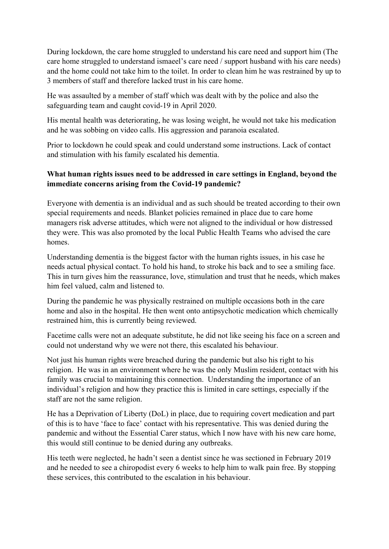During lockdown, the care home struggled to understand his care need and support him (The care home struggled to understand ismaeel's care need / support husband with his care needs) and the home could not take him to the toilet. In order to clean him he was restrained by up to 3 members of staff and therefore lacked trust in his care home.

He was assaulted by a member of staff which was dealt with by the police and also the safeguarding team and caught covid-19 in April 2020.

His mental health was deteriorating, he was losing weight, he would not take his medication and he was sobbing on video calls. His aggression and paranoia escalated.

Prior to lockdown he could speak and could understand some instructions. Lack of contact and stimulation with his family escalated his dementia.

# **What human rights issues need to be addressed in care settings in England, beyond the immediate concerns arising from the Covid-19 pandemic?**

Everyone with dementia is an individual and as such should be treated according to their own special requirements and needs. Blanket policies remained in place due to care home managers risk adverse attitudes, which were not aligned to the individual or how distressed they were. This was also promoted by the local Public Health Teams who advised the care homes.

Understanding dementia is the biggest factor with the human rights issues, in his case he needs actual physical contact. To hold his hand, to stroke his back and to see a smiling face. This in turn gives him the reassurance, love, stimulation and trust that he needs, which makes him feel valued, calm and listened to.

During the pandemic he was physically restrained on multiple occasions both in the care home and also in the hospital. He then went onto antipsychotic medication which chemically restrained him, this is currently being reviewed.

Facetime calls were not an adequate substitute, he did not like seeing his face on a screen and could not understand why we were not there, this escalated his behaviour.

Not just his human rights were breached during the pandemic but also his right to his religion. He was in an environment where he was the only Muslim resident, contact with his family was crucial to maintaining this connection. Understanding the importance of an individual's religion and how they practice this is limited in care settings, especially if the staff are not the same religion.

He has a Deprivation of Liberty (DoL) in place, due to requiring covert medication and part of this is to have 'face to face' contact with his representative. This was denied during the pandemic and without the Essential Carer status, which I now have with his new care home, this would still continue to be denied during any outbreaks.

His teeth were neglected, he hadn't seen a dentist since he was sectioned in February 2019 and he needed to see a chiropodist every 6 weeks to help him to walk pain free. By stopping these services, this contributed to the escalation in his behaviour.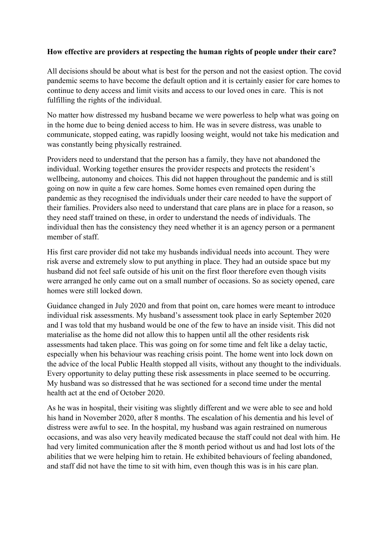## **How effective are providers at respecting the human rights of people under their care?**

All decisions should be about what is best for the person and not the easiest option. The covid pandemic seems to have become the default option and it is certainly easier for care homes to continue to deny access and limit visits and access to our loved ones in care. This is not fulfilling the rights of the individual.

No matter how distressed my husband became we were powerless to help what was going on in the home due to being denied access to him. He was in severe distress, was unable to communicate, stopped eating, was rapidly loosing weight, would not take his medication and was constantly being physically restrained.

Providers need to understand that the person has a family, they have not abandoned the individual. Working together ensures the provider respects and protects the resident's wellbeing, autonomy and choices. This did not happen throughout the pandemic and is still going on now in quite a few care homes. Some homes even remained open during the pandemic as they recognised the individuals under their care needed to have the support of their families. Providers also need to understand that care plans are in place for a reason, so they need staff trained on these, in order to understand the needs of individuals. The individual then has the consistency they need whether it is an agency person or a permanent member of staff.

His first care provider did not take my husbands individual needs into account. They were risk averse and extremely slow to put anything in place. They had an outside space but my husband did not feel safe outside of his unit on the first floor therefore even though visits were arranged he only came out on a small number of occasions. So as society opened, care homes were still locked down.

Guidance changed in July 2020 and from that point on, care homes were meant to introduce individual risk assessments. My husband's assessment took place in early September 2020 and I was told that my husband would be one of the few to have an inside visit. This did not materialise as the home did not allow this to happen until all the other residents risk assessments had taken place. This was going on for some time and felt like a delay tactic, especially when his behaviour was reaching crisis point. The home went into lock down on the advice of the local Public Health stopped all visits, without any thought to the individuals. Every opportunity to delay putting these risk assessments in place seemed to be occurring. My husband was so distressed that he was sectioned for a second time under the mental health act at the end of October 2020.

As he was in hospital, their visiting was slightly different and we were able to see and hold his hand in November 2020, after 8 months. The escalation of his dementia and his level of distress were awful to see. In the hospital, my husband was again restrained on numerous occasions, and was also very heavily medicated because the staff could not deal with him. He had very limited communication after the 8 month period without us and had lost lots of the abilities that we were helping him to retain. He exhibited behaviours of feeling abandoned, and staff did not have the time to sit with him, even though this was is in his care plan.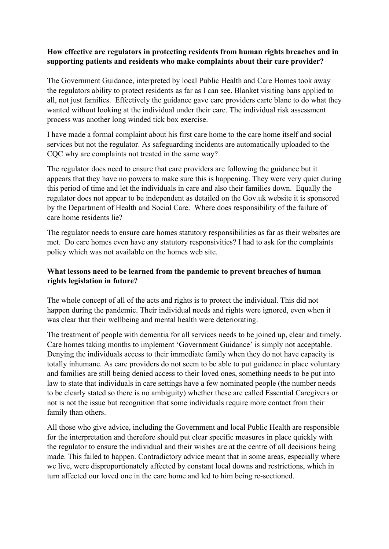## **How effective are regulators in protecting residents from human rights breaches and in supporting patients and residents who make complaints about their care provider?**

The Government Guidance, interpreted by local Public Health and Care Homes took away the regulators ability to protect residents as far as I can see. Blanket visiting bans applied to all, not just families. Effectively the guidance gave care providers carte blanc to do what they wanted without looking at the individual under their care. The individual risk assessment process was another long winded tick box exercise.

I have made a formal complaint about his first care home to the care home itself and social services but not the regulator. As safeguarding incidents are automatically uploaded to the COC why are complaints not treated in the same way?

The regulator does need to ensure that care providers are following the guidance but it appears that they have no powers to make sure this is happening. They were very quiet during this period of time and let the individuals in care and also their families down. Equally the regulator does not appear to be independent as detailed on the Gov.uk website it is sponsored by the Department of Health and Social Care. Where does responsibility of the failure of care home residents lie?

The regulator needs to ensure care homes statutory responsibilities as far as their websites are met. Do care homes even have any statutory responsivities? I had to ask for the complaints policy which was not available on the homes web site.

## **What lessons need to be learned from the pandemic to prevent breaches of human rights legislation in future?**

The whole concept of all of the acts and rights is to protect the individual. This did not happen during the pandemic. Their individual needs and rights were ignored, even when it was clear that their wellbeing and mental health were deteriorating.

The treatment of people with dementia for all services needs to be joined up, clear and timely. Care homes taking months to implement 'Government Guidance' is simply not acceptable. Denying the individuals access to their immediate family when they do not have capacity is totally inhumane. As care providers do not seem to be able to put guidance in place voluntary and families are still being denied access to their loved ones, something needs to be put into law to state that individuals in care settings have a few nominated people (the number needs to be clearly stated so there is no ambiguity) whether these are called Essential Caregivers or not is not the issue but recognition that some individuals require more contact from their family than others.

All those who give advice, including the Government and local Public Health are responsible for the interpretation and therefore should put clear specific measures in place quickly with the regulator to ensure the individual and their wishes are at the centre of all decisions being made. This failed to happen. Contradictory advice meant that in some areas, especially where we live, were disproportionately affected by constant local downs and restrictions, which in turn affected our loved one in the care home and led to him being re-sectioned.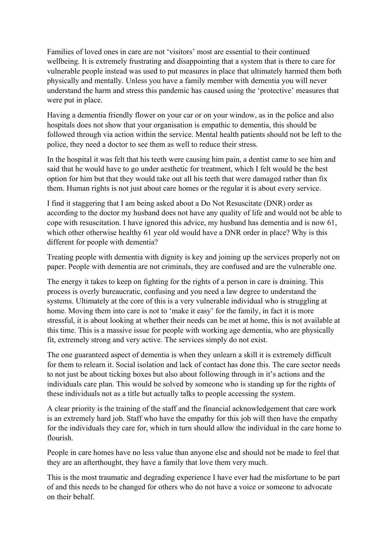Families of loved ones in care are not 'visitors' most are essential to their continued wellbeing. It is extremely frustrating and disappointing that a system that is there to care for vulnerable people instead was used to put measures in place that ultimately harmed them both physically and mentally. Unless you have a family member with dementia you will never understand the harm and stress this pandemic has caused using the 'protective' measures that were put in place.

Having a dementia friendly flower on your car or on your window, as in the police and also hospitals does not show that your organisation is empathic to dementia, this should be followed through via action within the service. Mental health patients should not be left to the police, they need a doctor to see them as well to reduce their stress.

In the hospital it was felt that his teeth were causing him pain, a dentist came to see him and said that he would have to go under aesthetic for treatment, which I felt would be the best option for him but that they would take out all his teeth that were damaged rather than fix them. Human rights is not just about care homes or the regular it is about every service.

I find it staggering that I am being asked about a Do Not Resuscitate (DNR) order as according to the doctor my husband does not have any quality of life and would not be able to cope with resuscitation. I have ignored this advice, my husband has dementia and is now 61, which other otherwise healthy 61 year old would have a DNR order in place? Why is this different for people with dementia?

Treating people with dementia with dignity is key and joining up the services properly not on paper. People with dementia are not criminals, they are confused and are the vulnerable one.

The energy it takes to keep on fighting for the rights of a person in care is draining. This process is overly bureaucratic, confusing and you need a law degree to understand the systems. Ultimately at the core of this is a very vulnerable individual who is struggling at home. Moving them into care is not to 'make it easy' for the family, in fact it is more stressful, it is about looking at whether their needs can be met at home, this is not available at this time. This is a massive issue for people with working age dementia, who are physically fit, extremely strong and very active. The services simply do not exist.

The one guaranteed aspect of dementia is when they unlearn a skill it is extremely difficult for them to relearn it. Social isolation and lack of contact has done this. The care sector needs to not just be about ticking boxes but also about following through in it's actions and the individuals care plan. This would be solved by someone who is standing up for the rights of these individuals not as a title but actually talks to people accessing the system.

A clear priority is the training of the staff and the financial acknowledgement that care work is an extremely hard job. Staff who have the empathy for this job will then have the empathy for the individuals they care for, which in turn should allow the individual in the care home to flourish.

People in care homes have no less value than anyone else and should not be made to feel that they are an afterthought, they have a family that love them very much.

This is the most traumatic and degrading experience I have ever had the misfortune to be part of and this needs to be changed for others who do not have a voice or someone to advocate on their behalf.